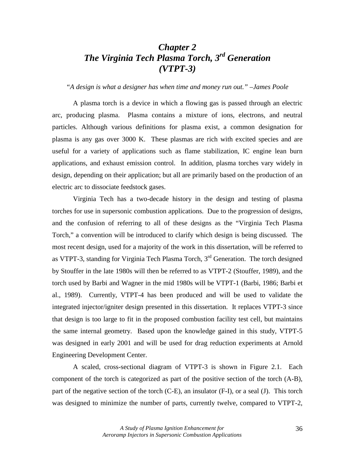# *Chapter 2 The Virginia Tech Plasma Torch, 3rd Generation (VTPT-3)*

*"A design is what a designer has when time and money run out." –James Poole* 

 A plasma torch is a device in which a flowing gas is passed through an electric arc, producing plasma. Plasma contains a mixture of ions, electrons, and neutral particles. Although various definitions for plasma exist, a common designation for plasma is any gas over 3000 K. These plasmas are rich with excited species and are useful for a variety of applications such as flame stabilization, IC engine lean burn applications, and exhaust emission control. In addition, plasma torches vary widely in design, depending on their application; but all are primarily based on the production of an electric arc to dissociate feedstock gases.

Virginia Tech has a two-decade history in the design and testing of plasma torches for use in supersonic combustion applications. Due to the progression of designs, and the confusion of referring to all of these designs as the "Virginia Tech Plasma Torch," a convention will be introduced to clarify which design is being discussed. The most recent design, used for a majority of the work in this dissertation, will be referred to as VTPT-3, standing for Virginia Tech Plasma Torch, 3rd Generation. The torch designed by Stouffer in the late 1980s will then be referred to as VTPT-2 (Stouffer, 1989), and the torch used by Barbi and Wagner in the mid 1980s will be VTPT-1 (Barbi, 1986; Barbi et al., 1989). Currently, VTPT-4 has been produced and will be used to validate the integrated injector/igniter design presented in this dissertation. It replaces VTPT-3 since that design is too large to fit in the proposed combustion facility test cell, but maintains the same internal geometry. Based upon the knowledge gained in this study, VTPT-5 was designed in early 2001 and will be used for drag reduction experiments at Arnold Engineering Development Center.

 A scaled, cross-sectional diagram of VTPT-3 is shown in Figure 2.1. Each component of the torch is categorized as part of the positive section of the torch (A-B), part of the negative section of the torch (C-E), an insulator (F-I), or a seal (J). This torch was designed to minimize the number of parts, currently twelve, compared to VTPT-2,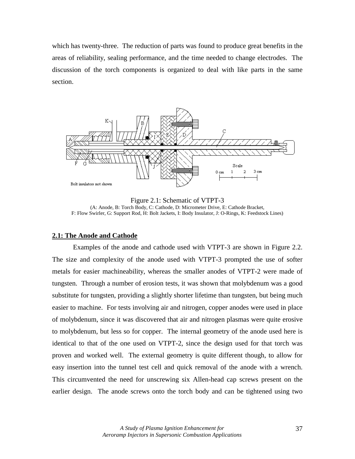which has twenty-three. The reduction of parts was found to produce great benefits in the areas of reliability, sealing performance, and the time needed to change electrodes. The discussion of the torch components is organized to deal with like parts in the same section.



Figure 2.1: Schematic of VTPT-3 (A: Anode, B: Torch Body, C: Cathode, D: Micrometer Drive, E: Cathode Bracket, F: Flow Swirler, G: Support Rod, H: Bolt Jackets, I: Body Insulator, J: O-Rings, K: Feedstock Lines)

### **2.1: The Anode and Cathode**

 Examples of the anode and cathode used with VTPT-3 are shown in Figure 2.2. The size and complexity of the anode used with VTPT-3 prompted the use of softer metals for easier machineability, whereas the smaller anodes of VTPT-2 were made of tungsten. Through a number of erosion tests, it was shown that molybdenum was a good substitute for tungsten, providing a slightly shorter lifetime than tungsten, but being much easier to machine. For tests involving air and nitrogen, copper anodes were used in place of molybdenum, since it was discovered that air and nitrogen plasmas were quite erosive to molybdenum, but less so for copper. The internal geometry of the anode used here is identical to that of the one used on VTPT-2, since the design used for that torch was proven and worked well. The external geometry is quite different though, to allow for easy insertion into the tunnel test cell and quick removal of the anode with a wrench. This circumvented the need for unscrewing six Allen-head cap screws present on the earlier design. The anode screws onto the torch body and can be tightened using two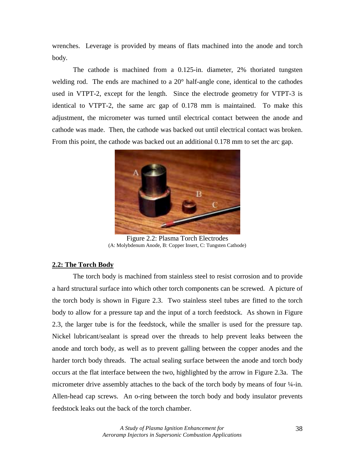wrenches. Leverage is provided by means of flats machined into the anode and torch body.

 The cathode is machined from a 0.125-in. diameter, 2% thoriated tungsten welding rod. The ends are machined to a 20<sup>°</sup> half-angle cone, identical to the cathodes used in VTPT-2, except for the length. Since the electrode geometry for VTPT-3 is identical to VTPT-2, the same arc gap of 0.178 mm is maintained. To make this adjustment, the micrometer was turned until electrical contact between the anode and cathode was made. Then, the cathode was backed out until electrical contact was broken. From this point, the cathode was backed out an additional 0.178 mm to set the arc gap.



Figure 2.2: Plasma Torch Electrodes (A: Molybdenum Anode, B: Copper Insert, C: Tungsten Cathode)

## **2.2: The Torch Body**

 The torch body is machined from stainless steel to resist corrosion and to provide a hard structural surface into which other torch components can be screwed. A picture of the torch body is shown in Figure 2.3. Two stainless steel tubes are fitted to the torch body to allow for a pressure tap and the input of a torch feedstock. As shown in Figure 2.3, the larger tube is for the feedstock, while the smaller is used for the pressure tap. Nickel lubricant/sealant is spread over the threads to help prevent leaks between the anode and torch body, as well as to prevent galling between the copper anodes and the harder torch body threads. The actual sealing surface between the anode and torch body occurs at the flat interface between the two, highlighted by the arrow in Figure 2.3a. The micrometer drive assembly attaches to the back of the torch body by means of four  $\frac{1}{4}$ -in. Allen-head cap screws. An o-ring between the torch body and body insulator prevents feedstock leaks out the back of the torch chamber.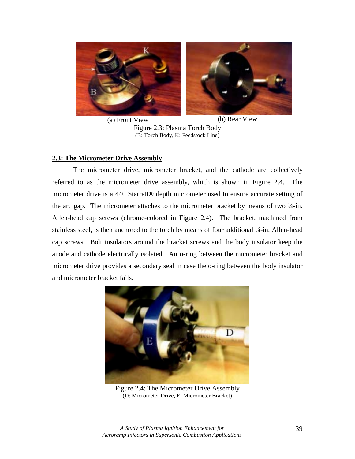

(a) Front View (b) Rear View

Figure 2.3: Plasma Torch Body (B: Torch Body, K: Feedstock Line)

## **2.3: The Micrometer Drive Assembly**

 The micrometer drive, micrometer bracket, and the cathode are collectively referred to as the micrometer drive assembly, which is shown in Figure 2.4. The micrometer drive is a 440 Starrett® depth micrometer used to ensure accurate setting of the arc gap. The micrometer attaches to the micrometer bracket by means of two  $\frac{1}{4}$ -in. Allen-head cap screws (chrome-colored in Figure 2.4). The bracket, machined from stainless steel, is then anchored to the torch by means of four additional ¼-in. Allen-head cap screws. Bolt insulators around the bracket screws and the body insulator keep the anode and cathode electrically isolated. An o-ring between the micrometer bracket and micrometer drive provides a secondary seal in case the o-ring between the body insulator and micrometer bracket fails.



Figure 2.4: The Micrometer Drive Assembly (D: Micrometer Drive, E: Micrometer Bracket)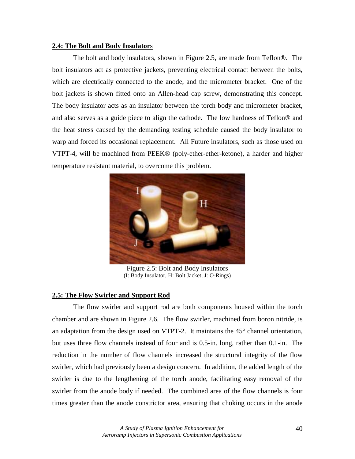### **2.4: The Bolt and Body Insulator**s

 The bolt and body insulators, shown in Figure 2.5, are made from Teflon®. The bolt insulators act as protective jackets, preventing electrical contact between the bolts, which are electrically connected to the anode, and the micrometer bracket. One of the bolt jackets is shown fitted onto an Allen-head cap screw, demonstrating this concept. The body insulator acts as an insulator between the torch body and micrometer bracket, and also serves as a guide piece to align the cathode. The low hardness of Teflon® and the heat stress caused by the demanding testing schedule caused the body insulator to warp and forced its occasional replacement. All Future insulators, such as those used on VTPT-4, will be machined from PEEK® (poly-ether-ether-ketone), a harder and higher temperature resistant material, to overcome this problem.



Figure 2.5: Bolt and Body Insulators (I: Body Insulator, H: Bolt Jacket, J: O-Rings)

## **2.5: The Flow Swirler and Support Rod**

 The flow swirler and support rod are both components housed within the torch chamber and are shown in Figure 2.6. The flow swirler, machined from boron nitride, is an adaptation from the design used on VTPT-2. It maintains the 45° channel orientation, but uses three flow channels instead of four and is 0.5-in. long, rather than 0.1-in. The reduction in the number of flow channels increased the structural integrity of the flow swirler, which had previously been a design concern. In addition, the added length of the swirler is due to the lengthening of the torch anode, facilitating easy removal of the swirler from the anode body if needed. The combined area of the flow channels is four times greater than the anode constrictor area, ensuring that choking occurs in the anode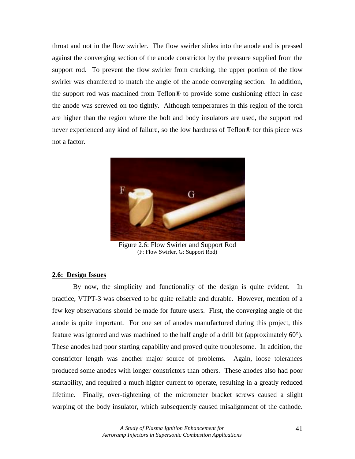throat and not in the flow swirler. The flow swirler slides into the anode and is pressed against the converging section of the anode constrictor by the pressure supplied from the support rod. To prevent the flow swirler from cracking, the upper portion of the flow swirler was chamfered to match the angle of the anode converging section. In addition, the support rod was machined from Teflon® to provide some cushioning effect in case the anode was screwed on too tightly. Although temperatures in this region of the torch are higher than the region where the bolt and body insulators are used, the support rod never experienced any kind of failure, so the low hardness of Teflon® for this piece was not a factor.



Figure 2.6: Flow Swirler and Support Rod (F: Flow Swirler, G: Support Rod)

#### **2.6: Design Issues**

 By now, the simplicity and functionality of the design is quite evident. In practice, VTPT-3 was observed to be quite reliable and durable. However, mention of a few key observations should be made for future users. First, the converging angle of the anode is quite important. For one set of anodes manufactured during this project, this feature was ignored and was machined to the half angle of a drill bit (approximately 60°). These anodes had poor starting capability and proved quite troublesome. In addition, the constrictor length was another major source of problems. Again, loose tolerances produced some anodes with longer constrictors than others. These anodes also had poor startability, and required a much higher current to operate, resulting in a greatly reduced lifetime. Finally, over-tightening of the micrometer bracket screws caused a slight warping of the body insulator, which subsequently caused misalignment of the cathode.